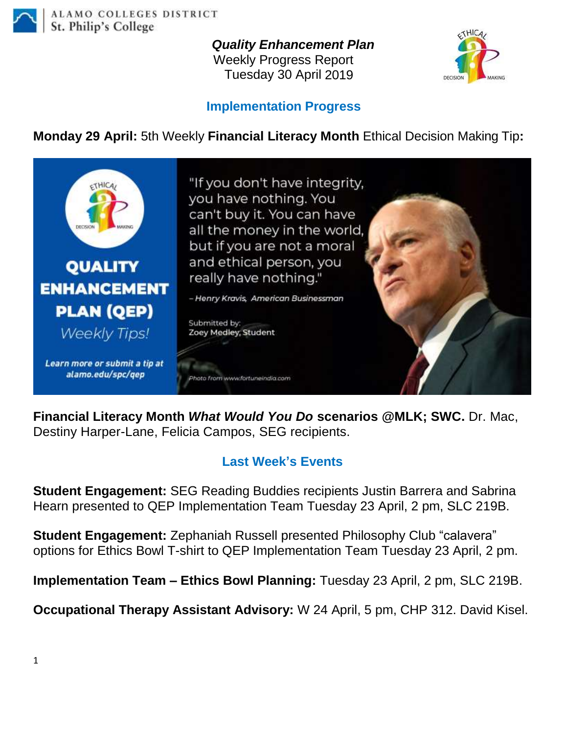

## *Quality Enhancement Plan*

Weekly Progress Report Tuesday 30 April 2019



## **Implementation Progress**

**Monday 29 April:** 5th Weekly **Financial Literacy Month** Ethical Decision Making Tip**:**



**Financial Literacy Month** *What Would You Do* **scenarios @MLK; SWC.** Dr. Mac, Destiny Harper-Lane, Felicia Campos, SEG recipients.

## **Last Week's Events**

**Student Engagement:** SEG Reading Buddies recipients Justin Barrera and Sabrina Hearn presented to QEP Implementation Team Tuesday 23 April, 2 pm, SLC 219B.

**Student Engagement:** Zephaniah Russell presented Philosophy Club "calavera" options for Ethics Bowl T-shirt to QEP Implementation Team Tuesday 23 April, 2 pm.

**Implementation Team – Ethics Bowl Planning:** Tuesday 23 April, 2 pm, SLC 219B.

**Occupational Therapy Assistant Advisory:** W 24 April, 5 pm, CHP 312. David Kisel.